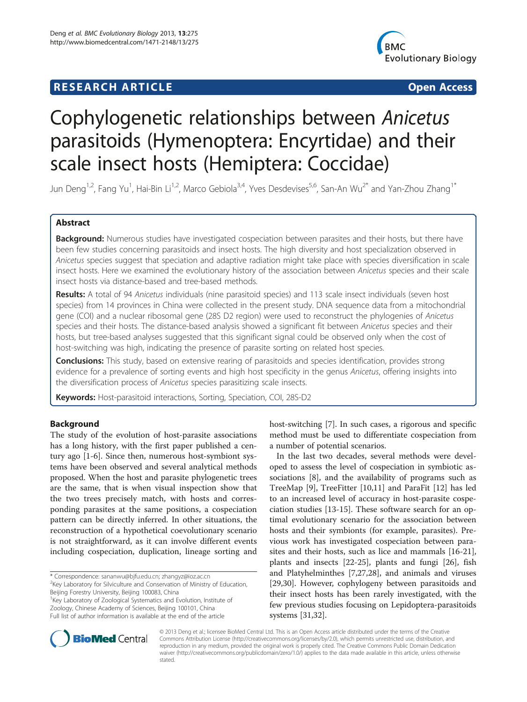## **RESEARCH ARTICLE Example 2018 12:00 Department of the CONNECTION CONNECTION CONNECTION CONNECTION**



# Cophylogenetic relationships between Anicetus parasitoids (Hymenoptera: Encyrtidae) and their scale insect hosts (Hemiptera: Coccidae)

Jun Deng<sup>1,2</sup>, Fang Yu<sup>1</sup>, Hai-Bin Li<sup>1,2</sup>, Marco Gebiola<sup>3,4</sup>, Yves Desdevises<sup>5,6</sup>, San-An Wu<sup>2\*</sup> and Yan-Zhou Zhang<sup>1\*</sup>

## Abstract

Background: Numerous studies have investigated cospeciation between parasites and their hosts, but there have been few studies concerning parasitoids and insect hosts. The high diversity and host specialization observed in Anicetus species suggest that speciation and adaptive radiation might take place with species diversification in scale insect hosts. Here we examined the evolutionary history of the association between Anicetus species and their scale insect hosts via distance-based and tree-based methods.

Results: A total of 94 Anicetus individuals (nine parasitoid species) and 113 scale insect individuals (seven host species) from 14 provinces in China were collected in the present study. DNA sequence data from a mitochondrial gene (COI) and a nuclear ribosomal gene (28S D2 region) were used to reconstruct the phylogenies of Anicetus species and their hosts. The distance-based analysis showed a significant fit between Anicetus species and their hosts, but tree-based analyses suggested that this significant signal could be observed only when the cost of host-switching was high, indicating the presence of parasite sorting on related host species.

**Conclusions:** This study, based on extensive rearing of parasitoids and species identification, provides strong evidence for a prevalence of sorting events and high host specificity in the genus Anicetus, offering insights into the diversification process of Anicetus species parasitizing scale insects.

Keywords: Host-parasitoid interactions, Sorting, Speciation, COI, 28S-D2

## Background

The study of the evolution of host-parasite associations has a long history, with the first paper published a century ago [\[1](#page-8-0)-[6\]](#page-8-0). Since then, numerous host-symbiont systems have been observed and several analytical methods proposed. When the host and parasite phylogenetic trees are the same, that is when visual inspection show that the two trees precisely match, with hosts and corresponding parasites at the same positions, a cospeciation pattern can be directly inferred. In other situations, the reconstruction of a hypothetical coevolutionary scenario is not straightforward, as it can involve different events including cospeciation, duplication, lineage sorting and

\* Correspondence: [sananwu@bjfu.edu.cn](mailto:sananwu@bjfu.edu.cn); [zhangyz@ioz.ac.cn](mailto:zhangyz@ioz.ac.cn) <sup>2</sup> <sup>2</sup>Key Laboratory for Silviculture and Conservation of Ministry of Education,

Beijing Forestry University, Beijing 100083, China

<sup>1</sup>Key Laboratory of Zoological Systematics and Evolution, Institute of Zoology, Chinese Academy of Sciences, Beijing 100101, China Full list of author information is available at the end of the article

host-switching [[7\]](#page-8-0). In such cases, a rigorous and specific method must be used to differentiate cospeciation from a number of potential scenarios.

In the last two decades, several methods were developed to assess the level of cospeciation in symbiotic associations [[8\]](#page-8-0), and the availability of programs such as TreeMap [\[9](#page-8-0)], TreeFitter [\[10,11](#page-8-0)] and ParaFit [[12\]](#page-8-0) has led to an increased level of accuracy in host-parasite cospeciation studies [\[13](#page-8-0)-[15\]](#page-8-0). These software search for an optimal evolutionary scenario for the association between hosts and their symbionts (for example, parasites). Previous work has investigated cospeciation between parasites and their hosts, such as lice and mammals [\[16-21](#page-9-0)], plants and insects [[22-25](#page-9-0)], plants and fungi [[26\]](#page-9-0), fish and Platyhelminthes [\[7](#page-8-0)[,27,28\]](#page-9-0), and animals and viruses [[29,30\]](#page-9-0). However, cophylogeny between parasitoids and their insect hosts has been rarely investigated, with the few previous studies focusing on Lepidoptera-parasitoids systems [\[31,32](#page-9-0)].



© 2013 Deng et al.; licensee BioMed Central Ltd. This is an Open Access article distributed under the terms of the Creative Commons Attribution License [\(http://creativecommons.org/licenses/by/2.0\)](http://creativecommons.org/licenses/by/2.0), which permits unrestricted use, distribution, and reproduction in any medium, provided the original work is properly cited. The Creative Commons Public Domain Dedication waiver [\(http://creativecommons.org/publicdomain/zero/1.0/\)](http://creativecommons.org/publicdomain/zero/1.0/) applies to the data made available in this article, unless otherwise stated.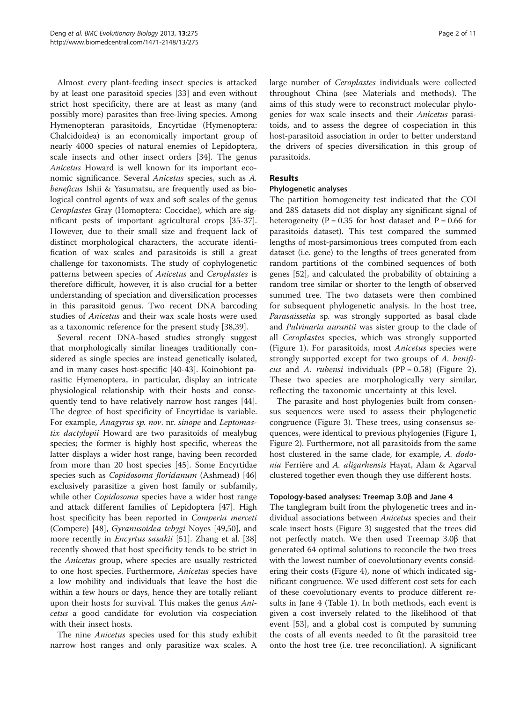Almost every plant-feeding insect species is attacked by at least one parasitoid species [\[33](#page-9-0)] and even without strict host specificity, there are at least as many (and possibly more) parasites than free-living species. Among Hymenopteran parasitoids, Encyrtidae (Hymenoptera: Chalcidoidea) is an economically important group of nearly 4000 species of natural enemies of Lepidoptera, scale insects and other insect orders [\[34\]](#page-9-0). The genus Anicetus Howard is well known for its important economic significance. Several Anicetus species, such as A. beneficus Ishii & Yasumatsu, are frequently used as biological control agents of wax and soft scales of the genus Ceroplastes Gray (Homoptera: Coccidae), which are significant pests of important agricultural crops [\[35-37](#page-9-0)]. However, due to their small size and frequent lack of distinct morphological characters, the accurate identification of wax scales and parasitoids is still a great challenge for taxonomists. The study of cophylogenetic patterns between species of Anicetus and Ceroplastes is therefore difficult, however, it is also crucial for a better understanding of speciation and diversification processes in this parasitoid genus. Two recent DNA barcoding studies of Anicetus and their wax scale hosts were used as a taxonomic reference for the present study [[38,39](#page-9-0)].

Several recent DNA-based studies strongly suggest that morphologically similar lineages traditionally considered as single species are instead genetically isolated, and in many cases host-specific [\[40](#page-9-0)-[43\]](#page-9-0). Koinobiont parasitic Hymenoptera, in particular, display an intricate physiological relationship with their hosts and consequently tend to have relatively narrow host ranges [\[44](#page-9-0)]. The degree of host specificity of Encyrtidae is variable. For example, Anagyrus sp. nov. nr. sinope and Leptomastix dactylopii Howard are two parasitoids of mealybug species; the former is highly host specific, whereas the latter displays a wider host range, having been recorded from more than 20 host species [[45\]](#page-9-0). Some Encyrtidae species such as Copidosoma floridanum (Ashmead) [[46](#page-9-0)] exclusively parasitize a given host family or subfamily, while other *Copidosoma* species have a wider host range and attack different families of Lepidoptera [[47](#page-9-0)]. High host specificity has been reported in Comperia merceti (Compere) [\[48](#page-9-0)], Gyranusoidea tebygi Noyes [[49,50\]](#page-9-0), and more recently in *Encyrtus sasakii* [\[51\]](#page-9-0). Zhang et al. [[38](#page-9-0)] recently showed that host specificity tends to be strict in the Anicetus group, where species are usually restricted to one host species. Furthermore, Anicetus species have a low mobility and individuals that leave the host die within a few hours or days, hence they are totally reliant upon their hosts for survival. This makes the genus Anicetus a good candidate for evolution via cospeciation with their insect hosts.

The nine *Anicetus* species used for this study exhibit narrow host ranges and only parasitize wax scales. A large number of Ceroplastes individuals were collected throughout China (see Materials and methods). The aims of this study were to reconstruct molecular phylogenies for wax scale insects and their Anicetus parasitoids, and to assess the degree of cospeciation in this host-parasitoid association in order to better understand the drivers of species diversification in this group of parasitoids.

## Results

## Phylogenetic analyses

The partition homogeneity test indicated that the COI and 28S datasets did not display any significant signal of heterogeneity ( $P = 0.35$  for host dataset and  $P = 0.66$  for parasitoids dataset). This test compared the summed lengths of most-parsimonious trees computed from each dataset (i.e. gene) to the lengths of trees generated from random partitions of the combined sequences of both genes [\[52](#page-9-0)], and calculated the probability of obtaining a random tree similar or shorter to the length of observed summed tree. The two datasets were then combined for subsequent phylogenetic analysis. In the host tree, Parasaissetia sp. was strongly supported as basal clade and Pulvinaria aurantii was sister group to the clade of all Ceroplastes species, which was strongly supported (Figure [1](#page-2-0)). For parasitoids, most Anicetus species were strongly supported except for two groups of A. benificus and A. rubensi individuals  $(PP = 0.58)$  (Figure [2](#page-3-0)). These two species are morphologically very similar, reflecting the taxonomic uncertainty at this level.

The parasite and host phylogenies built from consensus sequences were used to assess their phylogenetic congruence (Figure [3](#page-4-0)). These trees, using consensus sequences, were identical to previous phylogenies (Figure [1](#page-2-0), Figure [2](#page-3-0)). Furthermore, not all parasitoids from the same host clustered in the same clade, for example, A. dodonia Ferrière and A. aligarhensis Hayat, Alam & Agarval clustered together even though they use different hosts.

## Topology-based analyses: Treemap 3.0β and Jane 4

The tanglegram built from the phylogenetic trees and individual associations between Anicetus species and their scale insect hosts (Figure [3](#page-4-0)) suggested that the trees did not perfectly match. We then used Treemap 3.0β that generated 64 optimal solutions to reconcile the two trees with the lowest number of coevolutionary events considering their costs (Figure [4](#page-4-0)), none of which indicated significant congruence. We used different cost sets for each of these coevolutionary events to produce different results in Jane 4 (Table [1\)](#page-5-0). In both methods, each event is given a cost inversely related to the likelihood of that event [\[53\]](#page-9-0), and a global cost is computed by summing the costs of all events needed to fit the parasitoid tree onto the host tree (i.e. tree reconciliation). A significant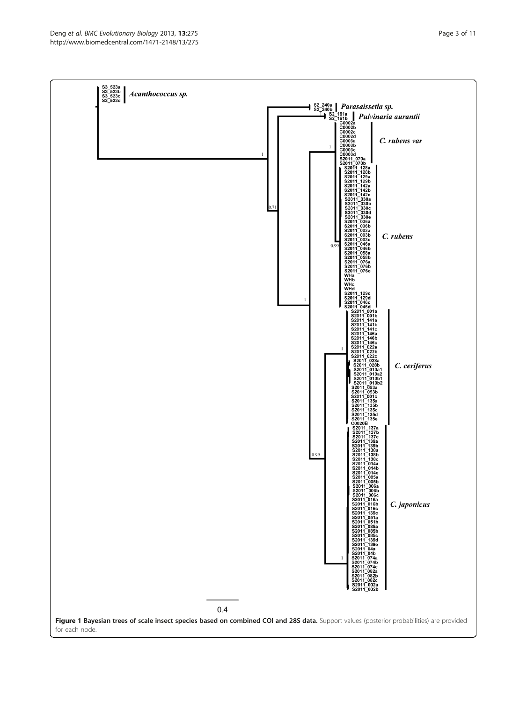<span id="page-2-0"></span>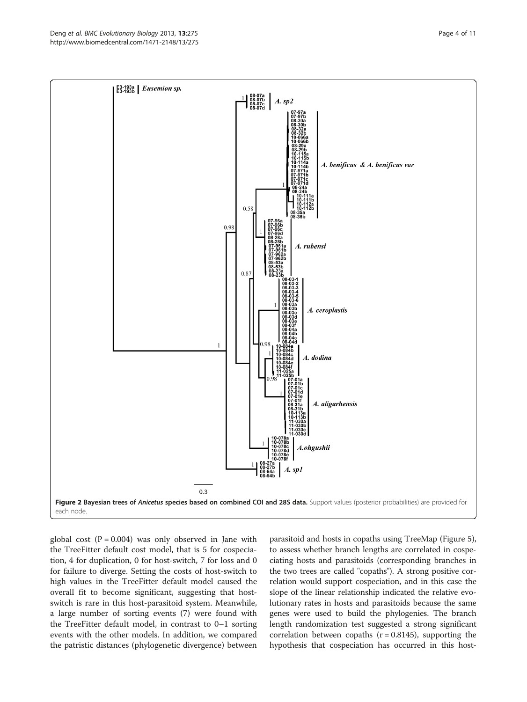<span id="page-3-0"></span>

global cost  $(P = 0.004)$  was only observed in Jane with the TreeFitter default cost model, that is 5 for cospeciation, 4 for duplication, 0 for host-switch, 7 for loss and 0 for failure to diverge. Setting the costs of host-switch to high values in the TreeFitter default model caused the overall fit to become significant, suggesting that hostswitch is rare in this host-parasitoid system. Meanwhile, a large number of sorting events (7) were found with the TreeFitter default model, in contrast to 0–1 sorting events with the other models. In addition, we compared the patristic distances (phylogenetic divergence) between

parasitoid and hosts in copaths using TreeMap (Figure [5](#page-5-0)), to assess whether branch lengths are correlated in cospeciating hosts and parasitoids (corresponding branches in the two trees are called "copaths"). A strong positive correlation would support cospeciation, and in this case the slope of the linear relationship indicated the relative evolutionary rates in hosts and parasitoids because the same genes were used to build the phylogenies. The branch length randomization test suggested a strong significant correlation between copaths  $(r = 0.8145)$ , supporting the hypothesis that cospeciation has occurred in this host-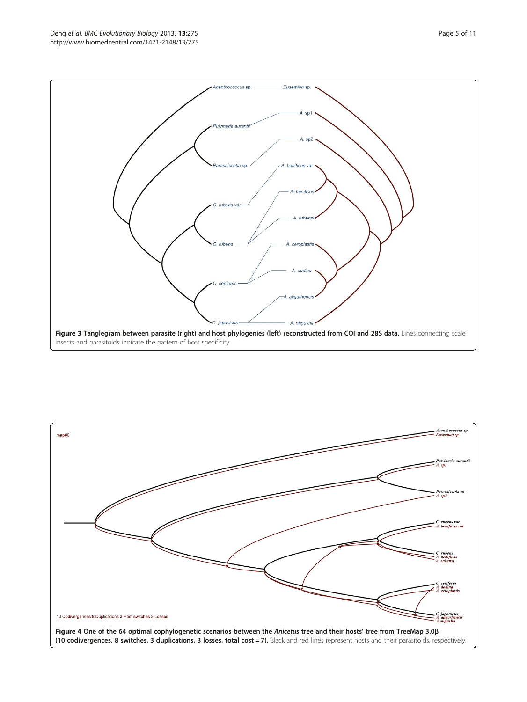<span id="page-4-0"></span>

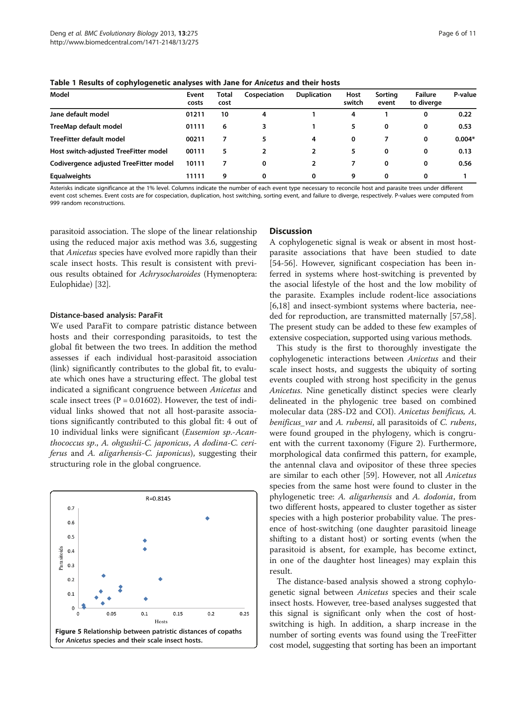<span id="page-5-0"></span>Table 1 Results of cophylogenetic analyses with Jane for Anicetus and their hosts

| Model                                  | Event<br>costs | Total<br>cost | Cospeciation | <b>Duplication</b> | Host<br>switch | Sorting<br>event | <b>Failure</b><br>to diverge | P-value  |
|----------------------------------------|----------------|---------------|--------------|--------------------|----------------|------------------|------------------------------|----------|
| Jane default model                     | 01211          | 10            | 4            |                    | 4              |                  | 0                            | 0.22     |
| TreeMap default model                  | 01111          | 6             | 3            |                    | 5              | 0                | 0                            | 0.53     |
| TreeFitter default model               | 00211          |               | 5            | 4                  | 0              |                  | $\mathbf 0$                  | $0.004*$ |
| Host switch-adjusted TreeFitter model  | 00111          | 5             |              | 2                  | 5              | 0                | 0                            | 0.13     |
| Codivergence adjusted TreeFitter model | 10111          |               | 0            |                    |                | 0                | 0                            | 0.56     |
| <b>Equalweights</b>                    | 11111          | 9             | 0            | 0                  | 9              | 0                | 0                            |          |

Asterisks indicate significance at the 1% level. Columns indicate the number of each event type necessary to reconcile host and parasite trees under different event cost schemes. Event costs are for cospeciation, duplication, host switching, sorting event, and failure to diverge, respectively. P-values were computed from 999 random reconstructions.

parasitoid association. The slope of the linear relationship using the reduced major axis method was 3.6, suggesting that Anicetus species have evolved more rapidly than their scale insect hosts. This result is consistent with previous results obtained for Achrysocharoides (Hymenoptera: Eulophidae) [\[32\]](#page-9-0).

#### Distance-based analysis: ParaFit

We used ParaFit to compare patristic distance between hosts and their corresponding parasitoids, to test the global fit between the two trees. In addition the method assesses if each individual host-parasitoid association (link) significantly contributes to the global fit, to evaluate which ones have a structuring effect. The global test indicated a significant congruence between Anicetus and scale insect trees  $(P = 0.01602)$ . However, the test of individual links showed that not all host-parasite associations significantly contributed to this global fit: 4 out of 10 individual links were significant (Eusemion sp.-Acanthococcus sp., A. ohgushii-C. japonicus, A dodina-C. ceriferus and A. aligarhensis-C. japonicus), suggesting their structuring role in the global congruence.



#### **Discussion**

A cophylogenetic signal is weak or absent in most hostparasite associations that have been studied to date [[54-56](#page-9-0)]. However, significant cospeciation has been inferred in systems where host-switching is prevented by the asocial lifestyle of the host and the low mobility of the parasite. Examples include rodent-lice associations [[6,](#page-8-0)[18\]](#page-9-0) and insect-symbiont systems where bacteria, needed for reproduction, are transmitted maternally [\[57,58](#page-9-0)]. The present study can be added to these few examples of extensive cospeciation, supported using various methods.

This study is the first to thoroughly investigate the cophylogenetic interactions between Anicetus and their scale insect hosts, and suggests the ubiquity of sorting events coupled with strong host specificity in the genus Anicetus. Nine genetically distinct species were clearly delineated in the phylogenic tree based on combined molecular data (28S-D2 and COI). Anicetus benificus, A. benificus\_var and A. rubensi, all parasitoids of C. rubens, were found grouped in the phylogeny, which is congruent with the current taxonomy (Figure [2](#page-3-0)). Furthermore, morphological data confirmed this pattern, for example, the antennal clava and ovipositor of these three species are similar to each other [[59](#page-9-0)]. However, not all Anicetus species from the same host were found to cluster in the phylogenetic tree: A. aligarhensis and A. dodonia, from two different hosts, appeared to cluster together as sister species with a high posterior probability value. The presence of host-switching (one daughter parasitoid lineage shifting to a distant host) or sorting events (when the parasitoid is absent, for example, has become extinct, in one of the daughter host lineages) may explain this result.

The distance-based analysis showed a strong cophylogenetic signal between Anicetus species and their scale insect hosts. However, tree-based analyses suggested that this signal is significant only when the cost of hostswitching is high. In addition, a sharp increase in the number of sorting events was found using the TreeFitter cost model, suggesting that sorting has been an important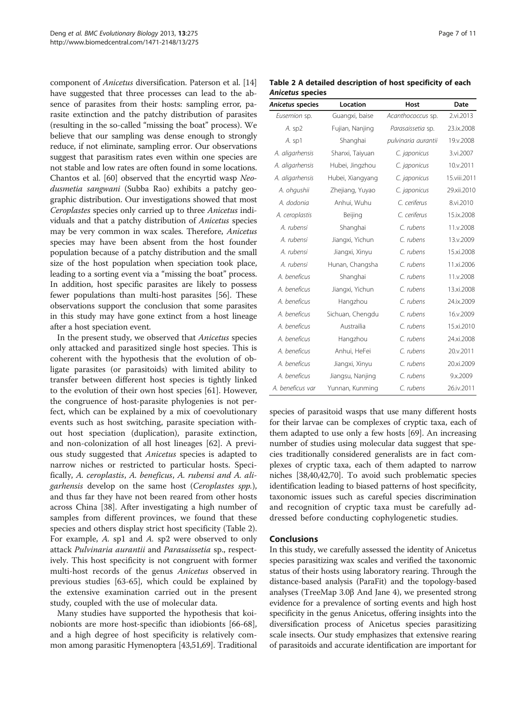component of Anicetus diversification. Paterson et al. [[14](#page-8-0)] have suggested that three processes can lead to the absence of parasites from their hosts: sampling error, parasite extinction and the patchy distribution of parasites (resulting in the so-called "missing the boat" process). We believe that our sampling was dense enough to strongly reduce, if not eliminate, sampling error. Our observations suggest that parasitism rates even within one species are not stable and low rates are often found in some locations. Chantos et al. [\[60\]](#page-9-0) observed that the encyrtid wasp Neodusmetia sangwani (Subba Rao) exhibits a patchy geographic distribution. Our investigations showed that most Ceroplastes species only carried up to three Anicetus individuals and that a patchy distribution of Anicetus species may be very common in wax scales. Therefore, Anicetus species may have been absent from the host founder population because of a patchy distribution and the small size of the host population when speciation took place, leading to a sorting event via a "missing the boat" process. In addition, host specific parasites are likely to possess fewer populations than multi-host parasites [\[56\]](#page-9-0). These observations support the conclusion that some parasites in this study may have gone extinct from a host lineage after a host speciation event.

In the present study, we observed that Anicetus species only attacked and parasitized single host species. This is coherent with the hypothesis that the evolution of obligate parasites (or parasitoids) with limited ability to transfer between different host species is tightly linked to the evolution of their own host species [\[61](#page-9-0)]. However, the congruence of host-parasite phylogenies is not perfect, which can be explained by a mix of coevolutionary events such as host switching, parasite speciation without host speciation (duplication), parasite extinction, and non-colonization of all host lineages [\[62](#page-9-0)]. A previous study suggested that Anicetus species is adapted to narrow niches or restricted to particular hosts. Specifically, A. ceroplastis, A. beneficus, A. rubensi and A. aligarhensis develop on the same host (Ceroplastes spp.), and thus far they have not been reared from other hosts across China [\[38\]](#page-9-0). After investigating a high number of samples from different provinces, we found that these species and others display strict host specificity (Table 2). For example, A. sp1 and A. sp2 were observed to only attack Pulvinaria aurantii and Parasaissetia sp., respectively. This host specificity is not congruent with former multi-host records of the genus Anicetus observed in previous studies [[63](#page-9-0)-[65\]](#page-10-0), which could be explained by the extensive examination carried out in the present study, coupled with the use of molecular data.

Many studies have supported the hypothesis that koinobionts are more host-specific than idiobionts [\[66-68](#page-10-0)], and a high degree of host specificity is relatively common among parasitic Hymenoptera [[43,51](#page-9-0)[,69\]](#page-10-0). Traditional

Table 2 A detailed description of host specificity of each Anicetus species

| Anicetus species | Location         | Host                | Date         |
|------------------|------------------|---------------------|--------------|
| Eusemion sp.     | Guangxi, baise   | Acanthococcus sp.   | 2.vi.2013    |
| A. sp2           | Fujian, Nanjing  | Parasaissetia sp.   | 23.ix.2008   |
| A. sp1           | Shanghai         | pulvinaria aurantii | 19.v.2008    |
| A. aligarhensis  | Shanxi, Taiyuan  | C. japonicus        | 3.vi.2007    |
| A. aligarhensis  | Hubei, Jingzhou  | C. japonicus        | 10.v.2011    |
| A. aligarhensis  | Hubei, Xiangyang | C. japonicus        | 15.viii.2011 |
| A. ohgushii      | Zhejiang, Yuyao  | C. japonicus        | 29.xii.2010  |
| A. dodonia       | Anhui, Wuhu      | C. ceriferus        | 8.vi.2010    |
| A. ceroplastis   | Beijing          | C. ceriferus        | 15.ix.2008   |
| A. rubensi       | Shanghai         | C. rubens           | 11.v.2008    |
| A. rubensi       | Jiangxi, Yichun  | C. rubens           | 13.v.2009    |
| A. rubensi       | Jiangxi, Xinyu   | C. rubens           | 15.xi.2008   |
| A. rubensi       | Hunan, Changsha  | C. rubens           | 11.xi.2006   |
| A. beneficus     | Shanghai         | C. rubens           | 11.v.2008    |
| A. beneficus     | Jiangxi, Yichun  | C. rubens           | 13.xi.2008   |
| A. beneficus     | Hangzhou         | C. rubens           | 24.ix.2009   |
| A. beneficus     | Sichuan, Chengdu | C. rubens           | 16.v.2009    |
| A. beneficus     | Austrailia       | C. rubens           | 15.xi.2010   |
| A. beneficus     | Hangzhou         | C. rubens           | 24.xi.2008   |
| A. beneficus     | Anhui, HeFei     | C. rubens           | 20.v.2011    |
| A. beneficus     | Jiangxi, Xinyu   | C. rubens           | 20.xi.2009   |
| A. beneficus     | Jiangsu, Nanjing | C. rubens           | 9.x.2009     |
| A. beneficus var | Yunnan, Kunming  | C. rubens           | 26.iv.2011   |

species of parasitoid wasps that use many different hosts for their larvae can be complexes of cryptic taxa, each of them adapted to use only a few hosts [\[69\]](#page-10-0). An increasing number of studies using molecular data suggest that species traditionally considered generalists are in fact complexes of cryptic taxa, each of them adapted to narrow niches [[38,40,42](#page-9-0)[,70\]](#page-10-0). To avoid such problematic species identification leading to biased patterns of host specificity, taxonomic issues such as careful species discrimination and recognition of cryptic taxa must be carefully addressed before conducting cophylogenetic studies.

#### Conclusions

In this study, we carefully assessed the identity of Anicetus species parasitizing wax scales and verified the taxonomic status of their hosts using laboratory rearing. Through the distance-based analysis (ParaFit) and the topology-based analyses (TreeMap 3.0β And Jane 4), we presented strong evidence for a prevalence of sorting events and high host specificity in the genus Anicetus, offering insights into the diversification process of Anicetus species parasitizing scale insects. Our study emphasizes that extensive rearing of parasitoids and accurate identification are important for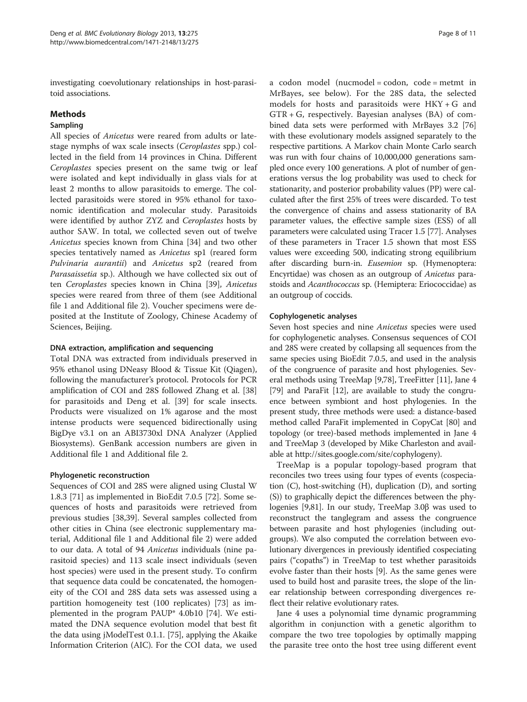investigating coevolutionary relationships in host-parasitoid associations.

## Methods

## Sampling

All species of Anicetus were reared from adults or latestage nymphs of wax scale insects (Ceroplastes spp.) collected in the field from 14 provinces in China. Different Ceroplastes species present on the same twig or leaf were isolated and kept individually in glass vials for at least 2 months to allow parasitoids to emerge. The collected parasitoids were stored in 95% ethanol for taxonomic identification and molecular study. Parasitoids were identified by author ZYZ and Ceroplastes hosts by author SAW. In total, we collected seven out of twelve Anicetus species known from China [\[34](#page-9-0)] and two other species tentatively named as Anicetus sp1 (reared form Pulvinaria aurantii) and Anicetus sp2 (reared from Parasaissetia sp.). Although we have collected six out of ten Ceroplastes species known in China [[39\]](#page-9-0), Anicetus species were reared from three of them (see Additional file [1](#page-8-0) and Additional file [2\)](#page-8-0). Voucher specimens were deposited at the Institute of Zoology, Chinese Academy of Sciences, Beijing.

### DNA extraction, amplification and sequencing

Total DNA was extracted from individuals preserved in 95% ethanol using DNeasy Blood & Tissue Kit (Qiagen), following the manufacturer's protocol. Protocols for PCR amplification of COI and 28S followed Zhang et al. [[38](#page-9-0)] for parasitoids and Deng et al. [[39](#page-9-0)] for scale insects. Products were visualized on 1% agarose and the most intense products were sequenced bidirectionally using BigDye v3.1 on an ABI3730xl DNA Analyzer (Applied Biosystems). GenBank accession numbers are given in Additional file [1](#page-8-0) and Additional file [2](#page-8-0).

## Phylogenetic reconstruction

Sequences of COI and 28S were aligned using Clustal W 1.8.3 [[71\]](#page-10-0) as implemented in BioEdit 7.0.5 [[72\]](#page-10-0). Some sequences of hosts and parasitoids were retrieved from previous studies [[38,39](#page-9-0)]. Several samples collected from other cities in China (see electronic supplementary material, Additional file [1](#page-8-0) and Additional file [2](#page-8-0)) were added to our data. A total of 94 Anicetus individuals (nine parasitoid species) and 113 scale insect individuals (seven host species) were used in the present study. To confirm that sequence data could be concatenated, the homogeneity of the COI and 28S data sets was assessed using a partition homogeneity test (100 replicates) [[73](#page-10-0)] as implemented in the program PAUP\* 4.0b10 [\[74\]](#page-10-0). We estimated the DNA sequence evolution model that best fit the data using jModelTest 0.1.1. [\[75](#page-10-0)], applying the Akaike Information Criterion (AIC). For the COI data, we used

a codon model (nucmodel = codon, code = metmt in MrBayes, see below). For the 28S data, the selected models for hosts and parasitoids were HKY + G and GTR + G, respectively. Bayesian analyses (BA) of combined data sets were performed with MrBayes 3.2 [[76](#page-10-0)] with these evolutionary models assigned separately to the respective partitions. A Markov chain Monte Carlo search was run with four chains of 10,000,000 generations sampled once every 100 generations. A plot of number of generations versus the log probability was used to check for stationarity, and posterior probability values (PP) were calculated after the first 25% of trees were discarded. To test the convergence of chains and assess stationarity of BA parameter values, the effective sample sizes (ESS) of all parameters were calculated using Tracer 1.5 [\[77\]](#page-10-0). Analyses of these parameters in Tracer 1.5 shown that most ESS values were exceeding 500, indicating strong equilibrium after discarding burn-in. Eusemion sp. (Hymenoptera: Encyrtidae) was chosen as an outgroup of Anicetus parastoids and Acanthococcus sp. (Hemiptera: Eriococcidae) as an outgroup of coccids.

## Cophylogenetic analyses

Seven host species and nine Anicetus species were used for cophylogenetic analyses. Consensus sequences of COI and 28S were created by collapsing all sequences from the same species using BioEdit 7.0.5, and used in the analysis of the congruence of parasite and host phylogenies. Several methods using TreeMap [[9](#page-8-0)[,78\]](#page-10-0), TreeFitter [[11](#page-8-0)], Jane 4 [[79](#page-10-0)] and ParaFit [\[12\]](#page-8-0), are available to study the congruence between symbiont and host phylogenies. In the present study, three methods were used: a distance-based method called ParaFit implemented in CopyCat [\[80\]](#page-10-0) and topology (or tree)-based methods implemented in Jane 4 and TreeMap 3 (developed by Mike Charleston and available at<http://sites.google.com/site/cophylogeny>).

TreeMap is a popular topology-based program that reconciles two trees using four types of events (cospeciation (C), host-switching (H), duplication (D), and sorting (S)) to graphically depict the differences between the phylogenies [\[9](#page-8-0)[,81\]](#page-10-0). In our study, TreeMap 3.0β was used to reconstruct the tanglegram and assess the congruence between parasite and host phylogenies (including outgroups). We also computed the correlation between evolutionary divergences in previously identified cospeciating pairs ("copaths") in TreeMap to test whether parasitoids evolve faster than their hosts [[9\]](#page-8-0). As the same genes were used to build host and parasite trees, the slope of the linear relationship between corresponding divergences reflect their relative evolutionary rates.

Jane 4 uses a polynomial time dynamic programming algorithm in conjunction with a genetic algorithm to compare the two tree topologies by optimally mapping the parasite tree onto the host tree using different event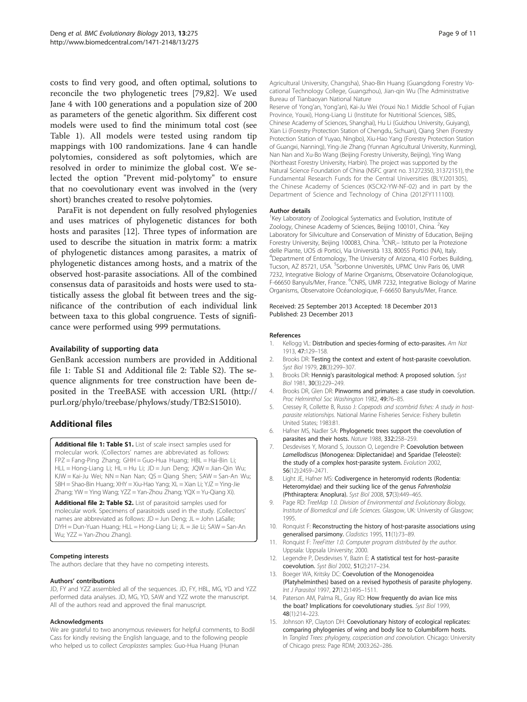<span id="page-8-0"></span>costs to find very good, and often optimal, solutions to reconcile the two phylogenetic trees [[79](#page-10-0),[82](#page-10-0)]. We used Jane 4 with 100 generations and a population size of 200 as parameters of the genetic algorithm. Six different cost models were used to find the minimum total cost (see Table [1](#page-5-0)). All models were tested using random tip mappings with 100 randomizations. Jane 4 can handle polytomies, considered as soft polytomies, which are resolved in order to minimize the global cost. We selected the option "Prevent mid-polytomy" to ensure that no coevolutionary event was involved in the (very short) branches created to resolve polytomies.

ParaFit is not dependent on fully resolved phylogenies and uses matrices of phylogenetic distances for both hosts and parasites [12]. Three types of information are used to describe the situation in matrix form: a matrix of phylogenetic distances among parasites, a matrix of phylogenetic distances among hosts, and a matrix of the observed host-parasite associations. All of the combined consensus data of parasitoids and hosts were used to statistically assess the global fit between trees and the significance of the contribution of each individual link between taxa to this global congruence. Tests of significance were performed using 999 permutations.

### Availability of supporting data

GenBank accession numbers are provided in Additional file 1: Table S1 and Additional file 2: Table S2). The sequence alignments for tree construction have been deposited in the TreeBASE with accession URL [\(http://](http://purl.org/phylo/treebase/phylows/study/TB2:S15010) [purl.org/phylo/treebase/phylows/study/TB2:S15010](http://purl.org/phylo/treebase/phylows/study/TB2:S15010)).

## Additional files

[Additional file 1: Table S1.](http://www.biomedcentral.com/content/supplementary/1471-2148-13-275-S1.xlsx) List of scale insect samples used for molecular work. (Collectors' names are abbreviated as follows: FPZ = Fang-Ping Zhang; GHH = Guo-Hua Huang; HBL = Hai-Bin Li; HLL = Hong-Liang Li; HL = Hu Li; JD = Jun Deng; JQW = Jian-Qin Wu; KJW = Kai-Ju Wei; NN = Nan Nan; QS = Qiang Shen; SAW = San-An Wu; SBH = Shao-Bin Huang; XHY = Xiu-Hao Yang; XL = Xian Li; YJZ = Ying-Jie Zhang; YW = Ying Wang; YZZ = Yan-Zhou Zhang; YQX = Yu-Qiang Xi).

[Additional file 2: Table S2.](http://www.biomedcentral.com/content/supplementary/1471-2148-13-275-S2.xlsx) List of parasitoid samples used for molecular work. Specimens of parasitoids used in the study. (Collectors' names are abbreviated as follows: JD = Jun Deng; JL = John LaSalle; DYH = Dun-Yuan Huang; HLL = Hong-Liang Li; JL = Jie Li; SAW = San-An Wu; YZZ = Yan-Zhou Zhang).

#### Competing interests

The authors declare that they have no competing interests.

#### Authors' contributions

JD, FY and YZZ assembled all of the sequences. JD, FY, HBL, MG, YD and YZZ performed data analyses. JD, MG, YD, SAW and YZZ wrote the manuscript. All of the authors read and approved the final manuscript.

#### Acknowledgments

We are grateful to two anonymous reviewers for helpful comments, to Bodil Cass for kindly revising the English language, and to the following people who helped us to collect Ceroplastes samples: Guo-Hua Huang (Hunan

Agricultural University, Changsha), Shao-Bin Huang (Guangdong Forestry Vocational Technology College, Guangzhou), Jian-qin Wu (The Administrative Bureau of Tianbaoyan National Nature

Reserve of Yong'an, Yong'an), Kai-Ju Wei (Youxi No.1 Middle School of Fujian Province, Youxi), Hong-Liang Li (Institute for Nutritional Sciences, SIBS, Chinese Academy of Sciences, Shanghai), Hu Li (Guizhou University, Guiyang), Xian Li (Forestry Protection Station of Chengdu, Sichuan), Qiang Shen (Forestry Protection Station of Yuyao, Ningbo), Xiu-Hao Yang (Forestry Protection Station of Guangxi, Nanning), Ying-Jie Zhang (Yunnan Agricultural University, Kunming), Nan Nan and Xu-Bo Wang (Beijing Forestry University, Beijing), Ying Wang (Northeast Forestry University, Harbin). The project was supported by the Natural Science Foundation of China (NSFC grant no. 31272350, 31372151), the Fundamental Research Funds for the Central Universities (BLYJ201305), the Chinese Academy of Sciences (KSCX2-YW-NF-02) and in part by the Department of Science and Technology of China (2012FY111100).

#### Author details

<sup>1</sup>Key Laboratory of Zoological Systematics and Evolution, Institute of Zoology, Chinese Academy of Sciences, Beijing 100101, China. <sup>2</sup>Key Laboratory for Silviculture and Conservation of Ministry of Education, Beijing Forestry University, Beijing 100083, China. <sup>3</sup>CNR,- Istituto per la Protezione delle Piante, UOS di Portici, Via Università 133, 80055 Portici (NA), Italy. 4 Department of Entomology, The University of Arizona, 410 Forbes Building, Tucson, AZ 85721, USA. <sup>5</sup>Sorbonne Universités, UPMC Univ Paris 06, UMF 7232, Integrative Biology of Marine Organisms, Observatoire Océanologique, F-66650 Banyuls/Mer, France. <sup>6</sup>CNRS, UMR 7232, Integrative Biology of Marine Organisms, Observatoire Océanologique, F-66650 Banyuls/Mer, France.

#### Received: 25 September 2013 Accepted: 18 December 2013 Published: 23 December 2013

#### References

- 1. Kellogg VL: Distribution and species-forming of ecto-parasites. Am Nat 1913, 47:129–158.
- 2. Brooks DR: Testing the context and extent of host-parasite coevolution. Syst Biol 1979, 28(3):299–307.
- 3. Brooks DR: Hennig's parasitological method: A proposed solution. Syst Biol 1981, 30(3):229–249.
- 4. Brooks DR, Glen DR: Pinworms and primates: a case study in coevolution. Proc Helminthol Soc Washington 1982, 49:76–85.
- 5. Cressey R, Collette B, Russo J: Copepods and scombrid fishes: A study in hostparasite relationships. National Marine Fisheries Service: Fishery bulletin United States; 1983:81.
- 6. Hafner MS, Nadler SA: Phylogenetic trees support the coevolution of parasites and their hosts. Nature 1988, 332:258–259.
- 7. Desdevises Y, Morand S, Jousson O, Legendre P: Coevolution between Lamellodiscus (Monogenea: Diplectanidae) and Sparidae (Teleostei): the study of a complex host-parasite system. Evolution 2002, 56(12):2459–2471.
- 8. Light JE, Hafner MS: Codivergence in heteromyid rodents (Rodentia: Heteromyidae) and their sucking lice of the genus Fahrenholzia (Phthiraptera: Anoplura). Syst Biol 2008, 57(3):449–465.
- 9. Page RD: TreeMap 1.0. Division of Environmental and Evolutionary Biology, Institute of Biomedical and Life Sciences. Glasgow, UK: University of Glasgow; 1995.
- 10. Ronquist F: Reconstructing the history of host-parasite associations using generalised parsimony. Cladistics 1995, 11(1):73–89.
- 11. Ronquist F: TreeFitter 1.0. Computer program distributed by the author. Uppsala: Uppsala University; 2000.
- 12. Legendre P, Desdevises Y, Bazin E: A statistical test for host–parasite coevolution. Syst Biol 2002, 51(2):217–234.
- 13. Boeger WA, Kritsky DC: Coevolution of the Monogenoidea (Platyhelminthes) based on a revised hypothesis of parasite phylogeny. Int J Parasitol 1997, 27(12):1495–1511.
- 14. Paterson AM, Palma RL, Gray RD: How frequently do avian lice miss the boat? Implications for coevolutionary studies. Syst Biol 1999, 48(1):214–223.
- 15. Johnson KP, Clayton DH: Coevolutionary history of ecological replicates: comparing phylogenies of wing and body lice to Columbiform hosts. In Tangled Trees: phylogeny, cospeciation and coevolution. Chicago: University of Chicago press: Page RDM; 2003:262–286.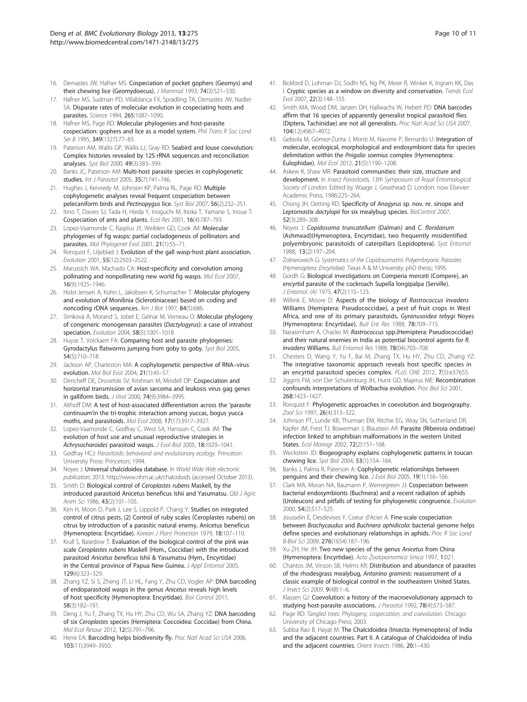- <span id="page-9-0"></span>16. Demastes JW, Hafner MS: Cospeciation of pocket gophers (Geomys) and their chewing lice (Geomydoecus). J Mammal 1993, 74(3):521–530.
- 17. Hafner MS, Sudman PD, Villablanca FX, Spradling TA, Demastes JW, Nadler SA: Disparate rates of molecular evolution in cospeciating hosts and parasites. Science 1994, 265:1087–1090.
- 18. Hafner MS, Page RD: Molecular phylogenies and host-parasite cospeciation: gophers and lice as a model system. Phil Trans R Soc Lond Ser B 1995, 349(1327):77-83.
- 19. Paterson AM, Wallis GP, Wallis LJ, Gray RD: Seabird and louse coevolution: Complex histories revealed by 12S rRNA sequences and reconciliation analyses. Syst Biol 2000, 49(3):383–399.
- 20. Banks JC, Paterson AM: Multi-host parasite species in cophylogenetic studies. Int J Parasitol 2005, 35(7):741-746.
- 21. Hughes J, Kennedy M, Johnson KP, Palma RL, Page RD: Multiple cophylogenetic analyses reveal frequent cospeciation between pelecaniform birds and Pectinopygus lice. Syst Biol 2007, 56(2):232-251.
- 22. Itino T, Davies SJ, Tada H, Hieda Y, Inoguchi M, Itioka T, Yamane S, Inoue T: Cospeciation of ants and plants. Ecol Res 2001, 16(4):787–793.
- 23. Lopez-Vaamonde C, Rasplus JY, Weiblen GD, Cook JM: Molecular phylogenies of fig wasps: partial cocladogenesis of pollinators and parasites. Mol Phylogenet Evol 2001, 21(1):55–71.
- 24. Ronquist F, Liljeblad J: Evolution of the gall wasp-host plant association. Evolution 2001, 55(12):2503–2522.
- 25. Marussich WA, Machado CA: Host-specificity and coevolution among pollinating and nonpollinating new world fig wasps. Mol Ecol 2007, 16(9):1925–1946.
- 26. Holst-Jensen A, Kohn L, Jakobsen K, Schumacher T: Molecular phylogeny and evolution of Monilinia (Sclerotiniaceae) based on coding and noncoding rDNA sequences. Am J Bot 1997, 84(5):686.
- 27. SImková A, Morand S, Jobet E, Gelnar M, Verneau O: Molecular phylogeny of congeneric monogenean parasites (Dactylogyrus): a case of intrahost speciation. Evolution 2004, 58(5):1001-1018.
- 28. Huyse T, Volckaert FA: Comparing host and parasite phylogenies: Gyrodactylus flatworms jumping from goby to goby. Syst Biol 2005, 54(5):710–718.
- 29. Jackson AP, Charleston MA: A cophylogenetic perspective of RNA-virus evolution. Mol Biol Evol 2004, 21(1):45–57.
- 30. Dimcheff DE, Drovetski SV, Krishnan M, Mindell DP: Cospeciation and horizontal transmission of avian sarcoma and leukosis virus gag genes in galliform birds. J Virol 2000, 74(9):3984–3995.
- 31. Althoff DM: A test of host-associated differentiation across the 'parasite continuum'in the tri-trophic interaction among yuccas, bogus yucca moths, and parasitoids. Mol Ecol 2008, 17(17):3917–3927.
- 32. Lopez-Vaamonde C, Godfray C, West SA, Hansson C, Cook JM: The evolution of host use and unusual reproductive strategies in Achrysocharoides parasitoid wasps. J Evol Biol 2005, 18:1029–1041.
- 33. Godfray HCJ: Parasitoids: behavioral and evolutionary ecology. Princeton University Press: Princeton; 1994.
- 34. Noyes J: Universal chalcidoidea database. In World Wide Web electronic publication; 2013.<http://www.nhm.ac.uk/chalcidoids> (accessed October 2013).
- 35. Smith D: Biological control of Ceroplastes rubens Maskell, by the introduced parasitoid Anicetus beneficus Ishii and Yasumatsu. Qld J Agric Anim Sci 1986, 43(2):101–105.
- 36. Kim H, Moon D, Park J, Lee S, Lippold P, Chang Y: Studies on integrated control of citrus pests. (2) Control of ruby scales (Ceroplastes rubens) on citrus by introduction of a parasitic natural enemy, Anicetus beneficus (Hymenoptera: Encyrtidae). Korean J Plant Protection 1979, 18:107–110.
- 37. Krull S, Basedow T: Evaluation of the biological control of the pink wax scale Ceroplastes rubens Maskell (Hom., Coccidae) with the introduced parasitoid Anicetus beneficus Ishii & Yasumatsu (Hym., Encyrtidae) in the Central province of Papua New Guinea. J Appl Entomol 2005, 129(6):323–329.
- 38. Zhang YZ, Si S, Zheng JT, Li HL, Fang Y, Zhu CD, Vogler AP: DNA barcoding of endoparasitoid wasps in the genus Anicetus reveals high levels of host specificity (Hymenoptera: Encyrtidae). Biol Control 2011, 58(3):182–191.
- 39. Deng J, Yu F, Zhang TX, Hu HY, Zhu CD, Wu SA, Zhang YZ: DNA barcoding of six Ceroplastes species (Hemiptera: Coccoidea: Coccidae) from China. Mol Ecol Resour 2012, 12(5):791–796.
- 40. Herre EA: Barcoding helps biodiversity fly. Proc Natl Acad Sci USA 2006, 103(11):3949–3950.
- 41. Bickford D, Lohman DJ, Sodhi NS, Ng PK, Meier R, Winker K, Ingram KK, Das I: Cryptic species as a window on diversity and conservation. Trends Ecol Evol 2007, 22(3):148–155.
- 42. Smith MA, Wood DM, Janzen DH, Hallwachs W, Hebert PD: DNA barcodes affirm that 16 species of apparently generalist tropical parasitoid flies (Diptera, Tachinidae) are not all generalists. Proc Natl Acad Sci USA 2007, 104(12):4967–4972.
- 43. Gebiola M, Gómez-Zurita J, Monti M, Navone P, Bernardo U: Integration of molecular, ecological, morphological and endosymbiont data for species delimitation within the Pnigalio soemius complex (Hymenoptera: Eulophidae). Mol Ecol 2012, 21(5):1190–1208.
- 44. Askew R, Shaw MR: Parasitoid communities: their size, structure and development. In Insect Parasitoids, 13th Symposium of Royal Entomological Society of London. Edited by Waage J, Greathead D. London: now Elsevier: Academic Press; 1986:225–264.
- 45. Chong JH, Oetting RD: Specificity of Anagyrus sp. nov. nr. sinope and Leptomastix dactylopii for six mealybug species. BioControl 2007, 52(3):289–308.
- 46. Noves J: Copidosoma truncatellum (Dalman) and C. floridanum (Ashmead)(Hymenoptera, Encyrtidae), two frequently misidentified polyembryonic parasitoids of caterpillars (Lepidoptera). Syst Entomol 1988, 13(2):197–204.
- 47. Zolnerowich G: Systematics of the Copidosomatini: Polyembryonic Parasites (Hymenoptera: Encyrtidae). Texas A & M University: phD thesis; 1995.
- 48. Gordh G: Biological investigations on Comperia merceti (Compere), an encyrtid parasite of the cockroach Supella longipalpa (Serville). J Entomol. (A) 1973, 47(2):115–123.
- 49. Willink E, Moore D: Aspects of the biology of Rastrococcus invadens Williams (Hemiptera: Pseudococcidae), a pest of fruit crops in West Africa, and one of its primary parasitoids, Gyranusoidea tebygi Noyes (Hymenoptera: Encyrtidae). Bull Ent Res 1988, 78:709–715.
- 50. Narasimham A, Chacko M: Rastrococcus spp.(Hemiptera: Pseudococcidae) and their natural enemies in India as potential biocontrol agents for R. invadens Williams. Bull Entomol Res 1988, 78(04):703–708.
- 51. Chesters D, Wang Y, Yu F, Bai M, Zhang TX, Hu HY, Zhu CD, Zhang YZ: The integrative taxonomic approach reveals host specific species in an encyrtid parasitoid species complex. PLoS ONE 2012, 7(5):e37655.
- 52. Jiggins FM, von Der Schulenburg JH, Hurst GD, Majerus ME: Recombination confounds interpretations of Wolbachia evolution. Proc Biol Sci 2001, 268:1423–1427.
- 53. Ronquist F: Phylogenetic approaches in coevolution and biogeography. Zool Scr 1997, 26(4):313–322.
- 54. Johnson PT, Lunde KB, Thurman EM, Ritchie EG, Wray SN, Sutherland DR, Kapfer JM, Frest TJ, Bowerman J, Blaustein AR: Parasite (Ribeiroia ondatrae) infection linked to amphibian malformations in the western United States. Ecol Monogr 2002, 72(2):151–168.
- 55. Weckstein JD: Biogeography explains cophylogenetic patterns in toucan chewing lice. Syst Biol 2004, 53(1):154–164.
- 56. Banks J, Palma R, Paterson A: Cophylogenetic relationships between penguins and their chewing lice. J Evol Biol 2005, 19(1):156-166.
- 57. Clark MA, Moran NA, Baumann P, Wernegreen JJ: Cospeciation between bacterial endosymbionts (Buchnera) and a recent radiation of aphids (Uroleucon) and pitfalls of testing for phylogenetic congruence. Evolution 2000, 54(2):517–525.
- 58. Jousselin E, Desdevises Y, Coeur d'Acier A: Fine-scale cospeciation between Brachycaudus and Buchnera aphidicola: bacterial genome helps define species and evolutionary relationships in aphids. Proc R Soc Lond B-Biol Sci 2009, 276(1654):187–196.
- 59. Xu ZH, He JH: Two new species of the genus Anicetus from China (Hymenoptera: Encyrtidae). Acta Zootaxonomica Sinica 1997, 1:021.
- 60. Chantos JM, Vinson SB, Helms KR: Distribution and abundance of parasites of the rhodesgrass mealybug, Antonina graminis: reassessment of a classic example of biological control in the southeastern United States. J Insect Sci 2009, 9(48):1–6.
- 61. Klassen GJ: Coevolution: a history of the macroevolutionary approach to studying host-parasite associations. J Parasitol 1992, 78(4):573-587
- 62. Page RD: Tangled trees: Phylogeny, cospeciation, and coevolution. Chicago: University of Chicago Press; 2003.
- 63. Subba Rao B, Hayat M: The Chalcidoidea (Insecta: Hymenoptera) of India and the adjacent countries. Part II. A catalogue of Chalcidoidea of India and the adjacent countries. Orient Insects 1986, 20:1-430.